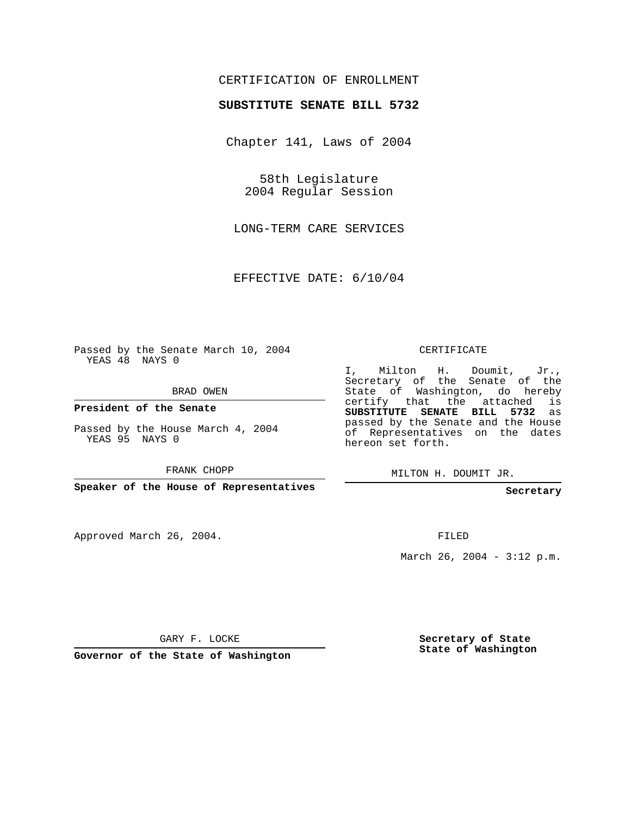## CERTIFICATION OF ENROLLMENT

## **SUBSTITUTE SENATE BILL 5732**

Chapter 141, Laws of 2004

58th Legislature 2004 Regular Session

LONG-TERM CARE SERVICES

EFFECTIVE DATE: 6/10/04

Passed by the Senate March 10, 2004 YEAS 48 NAYS 0

BRAD OWEN

**President of the Senate**

Passed by the House March 4, 2004 YEAS 95 NAYS 0

FRANK CHOPP

**Speaker of the House of Representatives**

Approved March 26, 2004.

CERTIFICATE

I, Milton H. Doumit, Jr., Secretary of the Senate of the State of Washington, do hereby certify that the attached is **SUBSTITUTE SENATE BILL 5732** as passed by the Senate and the House of Representatives on the dates hereon set forth.

MILTON H. DOUMIT JR.

**Secretary**

FILED

March 26, 2004 - 3:12 p.m.

GARY F. LOCKE

**Governor of the State of Washington**

**Secretary of State State of Washington**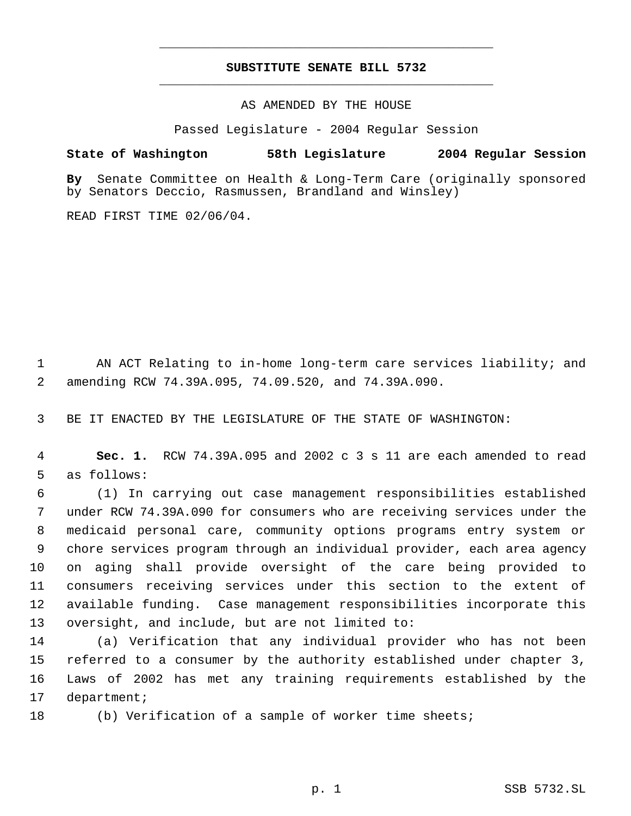## **SUBSTITUTE SENATE BILL 5732** \_\_\_\_\_\_\_\_\_\_\_\_\_\_\_\_\_\_\_\_\_\_\_\_\_\_\_\_\_\_\_\_\_\_\_\_\_\_\_\_\_\_\_\_\_

\_\_\_\_\_\_\_\_\_\_\_\_\_\_\_\_\_\_\_\_\_\_\_\_\_\_\_\_\_\_\_\_\_\_\_\_\_\_\_\_\_\_\_\_\_

AS AMENDED BY THE HOUSE

Passed Legislature - 2004 Regular Session

## **State of Washington 58th Legislature 2004 Regular Session**

**By** Senate Committee on Health & Long-Term Care (originally sponsored by Senators Deccio, Rasmussen, Brandland and Winsley)

READ FIRST TIME 02/06/04.

 AN ACT Relating to in-home long-term care services liability; and amending RCW 74.39A.095, 74.09.520, and 74.39A.090.

BE IT ENACTED BY THE LEGISLATURE OF THE STATE OF WASHINGTON:

 **Sec. 1.** RCW 74.39A.095 and 2002 c 3 s 11 are each amended to read as follows:

 (1) In carrying out case management responsibilities established under RCW 74.39A.090 for consumers who are receiving services under the medicaid personal care, community options programs entry system or chore services program through an individual provider, each area agency on aging shall provide oversight of the care being provided to consumers receiving services under this section to the extent of available funding. Case management responsibilities incorporate this oversight, and include, but are not limited to:

 (a) Verification that any individual provider who has not been referred to a consumer by the authority established under chapter 3, Laws of 2002 has met any training requirements established by the department;

(b) Verification of a sample of worker time sheets;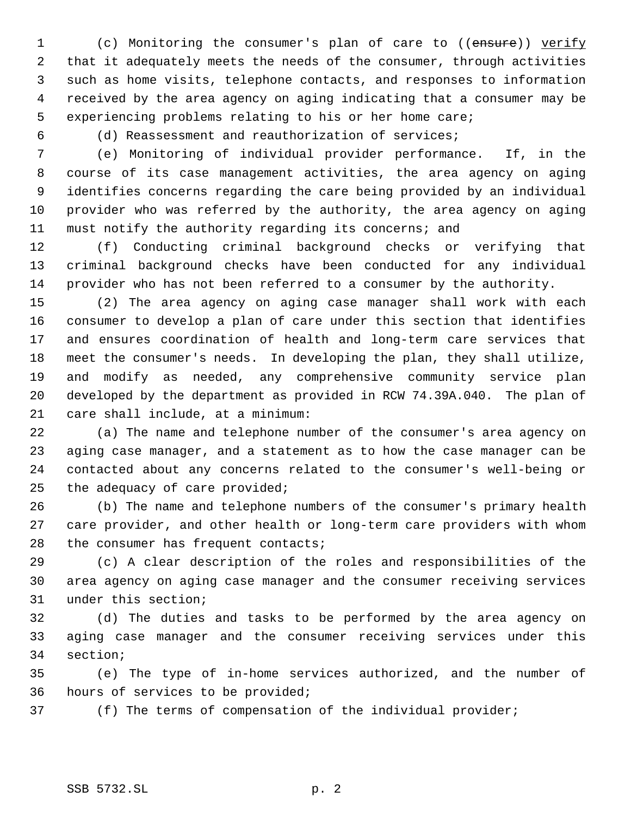1 (c) Monitoring the consumer's plan of care to ((ensure)) verify that it adequately meets the needs of the consumer, through activities such as home visits, telephone contacts, and responses to information received by the area agency on aging indicating that a consumer may be experiencing problems relating to his or her home care;

(d) Reassessment and reauthorization of services;

 (e) Monitoring of individual provider performance. If, in the course of its case management activities, the area agency on aging identifies concerns regarding the care being provided by an individual provider who was referred by the authority, the area agency on aging must notify the authority regarding its concerns; and

 (f) Conducting criminal background checks or verifying that criminal background checks have been conducted for any individual provider who has not been referred to a consumer by the authority.

 (2) The area agency on aging case manager shall work with each consumer to develop a plan of care under this section that identifies and ensures coordination of health and long-term care services that meet the consumer's needs. In developing the plan, they shall utilize, and modify as needed, any comprehensive community service plan developed by the department as provided in RCW 74.39A.040. The plan of care shall include, at a minimum:

 (a) The name and telephone number of the consumer's area agency on aging case manager, and a statement as to how the case manager can be contacted about any concerns related to the consumer's well-being or the adequacy of care provided;

 (b) The name and telephone numbers of the consumer's primary health care provider, and other health or long-term care providers with whom 28 the consumer has frequent contacts;

 (c) A clear description of the roles and responsibilities of the area agency on aging case manager and the consumer receiving services under this section;

 (d) The duties and tasks to be performed by the area agency on aging case manager and the consumer receiving services under this section;

 (e) The type of in-home services authorized, and the number of hours of services to be provided;

(f) The terms of compensation of the individual provider;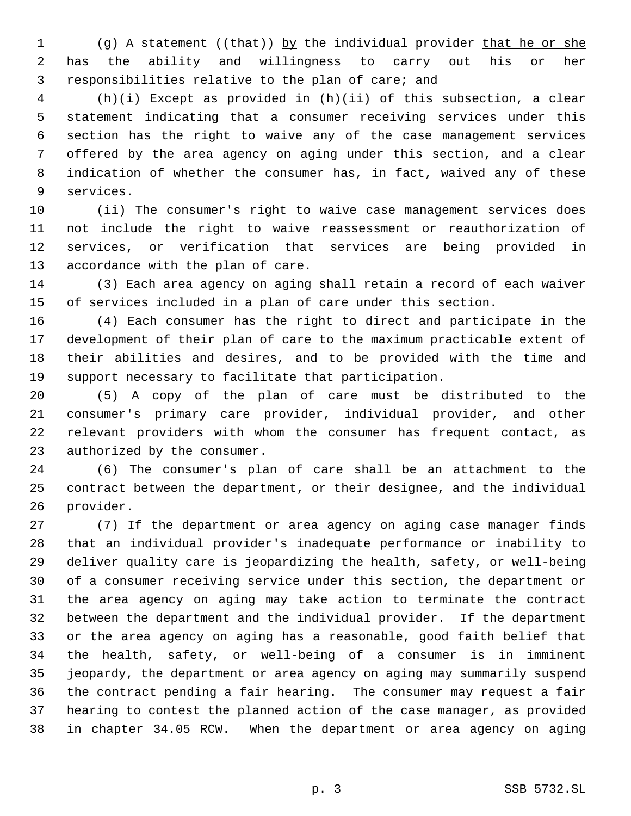1 (g) A statement ((that)) by the individual provider that he or she has the ability and willingness to carry out his or her responsibilities relative to the plan of care; and

 (h)(i) Except as provided in (h)(ii) of this subsection, a clear statement indicating that a consumer receiving services under this section has the right to waive any of the case management services offered by the area agency on aging under this section, and a clear indication of whether the consumer has, in fact, waived any of these services.

 (ii) The consumer's right to waive case management services does not include the right to waive reassessment or reauthorization of services, or verification that services are being provided in accordance with the plan of care.

 (3) Each area agency on aging shall retain a record of each waiver of services included in a plan of care under this section.

 (4) Each consumer has the right to direct and participate in the development of their plan of care to the maximum practicable extent of their abilities and desires, and to be provided with the time and support necessary to facilitate that participation.

 (5) A copy of the plan of care must be distributed to the consumer's primary care provider, individual provider, and other relevant providers with whom the consumer has frequent contact, as authorized by the consumer.

 (6) The consumer's plan of care shall be an attachment to the contract between the department, or their designee, and the individual provider.

 (7) If the department or area agency on aging case manager finds that an individual provider's inadequate performance or inability to deliver quality care is jeopardizing the health, safety, or well-being of a consumer receiving service under this section, the department or the area agency on aging may take action to terminate the contract between the department and the individual provider. If the department or the area agency on aging has a reasonable, good faith belief that the health, safety, or well-being of a consumer is in imminent jeopardy, the department or area agency on aging may summarily suspend the contract pending a fair hearing. The consumer may request a fair hearing to contest the planned action of the case manager, as provided in chapter 34.05 RCW. When the department or area agency on aging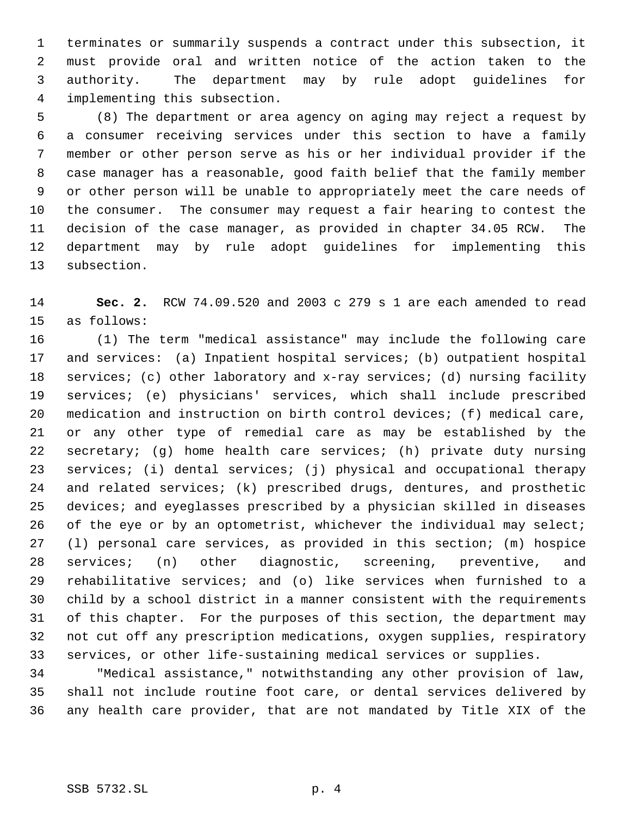terminates or summarily suspends a contract under this subsection, it must provide oral and written notice of the action taken to the authority. The department may by rule adopt guidelines for implementing this subsection.

 (8) The department or area agency on aging may reject a request by a consumer receiving services under this section to have a family member or other person serve as his or her individual provider if the case manager has a reasonable, good faith belief that the family member or other person will be unable to appropriately meet the care needs of the consumer. The consumer may request a fair hearing to contest the decision of the case manager, as provided in chapter 34.05 RCW. The department may by rule adopt guidelines for implementing this subsection.

 **Sec. 2.** RCW 74.09.520 and 2003 c 279 s 1 are each amended to read as follows:

 (1) The term "medical assistance" may include the following care and services: (a) Inpatient hospital services; (b) outpatient hospital 18 services; (c) other laboratory and x-ray services; (d) nursing facility services; (e) physicians' services, which shall include prescribed medication and instruction on birth control devices; (f) medical care, or any other type of remedial care as may be established by the secretary; (g) home health care services; (h) private duty nursing services; (i) dental services; (j) physical and occupational therapy and related services; (k) prescribed drugs, dentures, and prosthetic devices; and eyeglasses prescribed by a physician skilled in diseases 26 of the eye or by an optometrist, whichever the individual may select; (l) personal care services, as provided in this section; (m) hospice services; (n) other diagnostic, screening, preventive, and rehabilitative services; and (o) like services when furnished to a child by a school district in a manner consistent with the requirements of this chapter. For the purposes of this section, the department may not cut off any prescription medications, oxygen supplies, respiratory services, or other life-sustaining medical services or supplies.

 "Medical assistance," notwithstanding any other provision of law, shall not include routine foot care, or dental services delivered by any health care provider, that are not mandated by Title XIX of the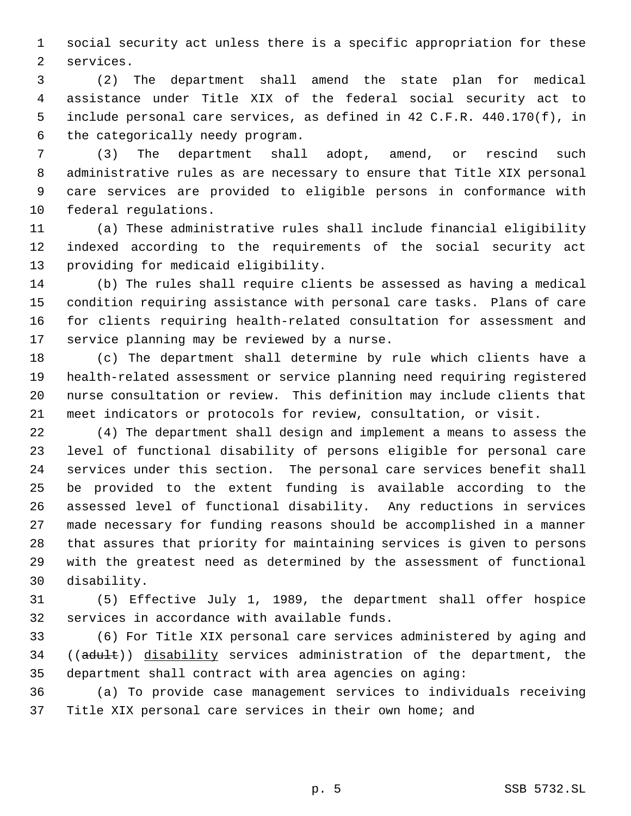social security act unless there is a specific appropriation for these services.

 (2) The department shall amend the state plan for medical assistance under Title XIX of the federal social security act to include personal care services, as defined in 42 C.F.R. 440.170(f), in the categorically needy program.

 (3) The department shall adopt, amend, or rescind such administrative rules as are necessary to ensure that Title XIX personal care services are provided to eligible persons in conformance with federal regulations.

 (a) These administrative rules shall include financial eligibility indexed according to the requirements of the social security act providing for medicaid eligibility.

 (b) The rules shall require clients be assessed as having a medical condition requiring assistance with personal care tasks. Plans of care for clients requiring health-related consultation for assessment and service planning may be reviewed by a nurse.

 (c) The department shall determine by rule which clients have a health-related assessment or service planning need requiring registered nurse consultation or review. This definition may include clients that meet indicators or protocols for review, consultation, or visit.

 (4) The department shall design and implement a means to assess the level of functional disability of persons eligible for personal care services under this section. The personal care services benefit shall be provided to the extent funding is available according to the assessed level of functional disability. Any reductions in services made necessary for funding reasons should be accomplished in a manner that assures that priority for maintaining services is given to persons with the greatest need as determined by the assessment of functional disability.

 (5) Effective July 1, 1989, the department shall offer hospice services in accordance with available funds.

 (6) For Title XIX personal care services administered by aging and 34 ((adult)) disability services administration of the department, the department shall contract with area agencies on aging:

 (a) To provide case management services to individuals receiving Title XIX personal care services in their own home; and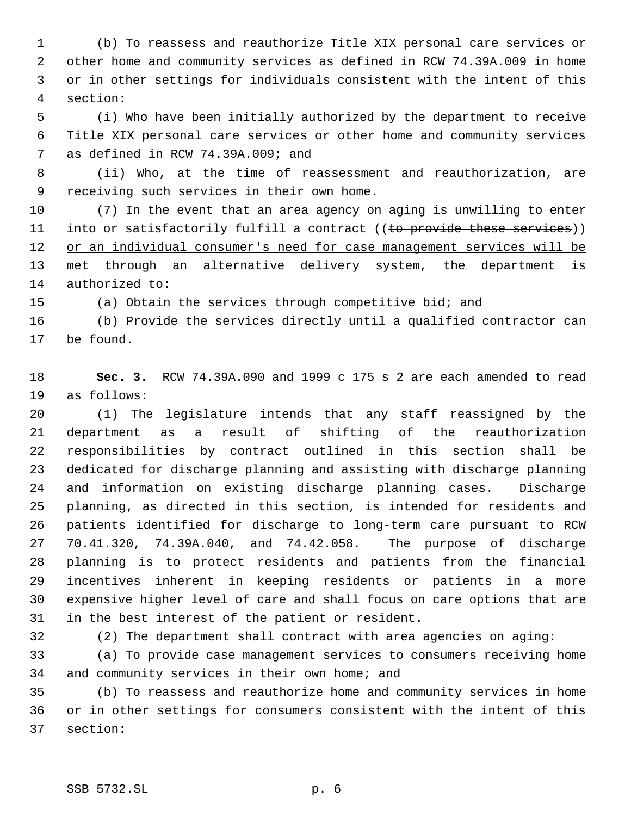(b) To reassess and reauthorize Title XIX personal care services or other home and community services as defined in RCW 74.39A.009 in home or in other settings for individuals consistent with the intent of this section:

 (i) Who have been initially authorized by the department to receive Title XIX personal care services or other home and community services as defined in RCW 74.39A.009; and

 (ii) Who, at the time of reassessment and reauthorization, are receiving such services in their own home.

 (7) In the event that an area agency on aging is unwilling to enter 11 into or satisfactorily fulfill a contract ((to provide these services)) 12 or an individual consumer's need for case management services will be 13 met through an alternative delivery system, the department is authorized to:

(a) Obtain the services through competitive bid; and

 (b) Provide the services directly until a qualified contractor can be found.

 **Sec. 3.** RCW 74.39A.090 and 1999 c 175 s 2 are each amended to read as follows:

 (1) The legislature intends that any staff reassigned by the department as a result of shifting of the reauthorization responsibilities by contract outlined in this section shall be dedicated for discharge planning and assisting with discharge planning and information on existing discharge planning cases. Discharge planning, as directed in this section, is intended for residents and patients identified for discharge to long-term care pursuant to RCW 70.41.320, 74.39A.040, and 74.42.058. The purpose of discharge planning is to protect residents and patients from the financial incentives inherent in keeping residents or patients in a more expensive higher level of care and shall focus on care options that are in the best interest of the patient or resident.

(2) The department shall contract with area agencies on aging:

 (a) To provide case management services to consumers receiving home 34 and community services in their own home; and

 (b) To reassess and reauthorize home and community services in home or in other settings for consumers consistent with the intent of this section: